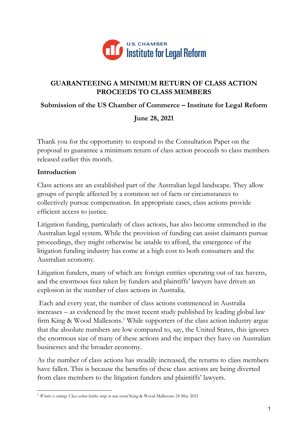

## **GUARANTEEING A MINIMUM RETURN OF CLASS ACTION PROCEEDS TO CLASS MEMBERS**

## **Submission of the US Chamber of Commerce – Institute for Legal Reform**

**June 28, 2021**

Thank you for the opportunity to respond to the Consultation Paper on the proposal to guarantee a minimum return of class action proceeds to class members released earlier this month.

## **Introduction**

Class actions are an established part of the Australian legal landscape. They allow groups of people affected by a common set of facts or circumstances to collectively pursue compensation. In appropriate cases, class actions provide efficient access to justice.

Litigation funding, particularly of class actions, has also become entrenched in the Australian legal system. While the provision of funding can assist claimants pursue proceedings, they might otherwise be unable to afford, the emergence of the litigation funding industry has come at a high cost to both consumers and the Australian economy.

Litigation funders, many of which are foreign entities operating out of tax havens, and the enormous fees taken by funders and plaintiffs' lawyers have driven an explosion in the number of class actions in Australia.

Each and every year, the number of class actions commenced in Australia increases – as evidenced by the most recent study published by leading global law firm King & Wood Mallesons.<sup>[1](#page-0-0)</sup> While supporters of the class action industry argue that the absolute numbers are low compared to, say, the United States, this ignores the enormous size of many of these actions and the impact they have on Australian businesses and the broader economy.

As the number of class actions has steadily increased, the returns to class members have fallen. This is because the benefits of these class actions are being diverted from class members to the litigation funders and plaintiffs' lawyers.

<span id="page-0-0"></span><sup>1</sup> *Winter is coming: Class action battles surge to new record* King & Wood Mallesons 24 May 2021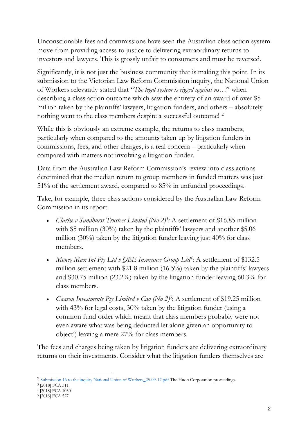Unconscionable fees and commissions have seen the Australian class action system move from providing access to justice to delivering extraordinary returns to investors and lawyers. This is grossly unfair to consumers and must be reversed.

Significantly, it is not just the business community that is making this point. In its submission to the Victorian Law Reform Commission inquiry, the National Union of Workers relevantly stated that "*The legal system is rigged against us…*" when describing a class action outcome which saw the entirety of an award of over \$5 million taken by the plaintiffs' lawyers, litigation funders, and others – absolutely nothing went to the class members despite a successful outcome!<sup>[2](#page-1-0)</sup>

While this is obviously an extreme example, the returns to class members, particularly when compared to the amounts taken up by litigation funders in commissions, fees, and other charges, is a real concern – particularly when compared with matters not involving a litigation funder.

Data from the Australian Law Reform Commission's review into class actions determined that the median return to group members in funded matters was just 51% of the settlement award, compared to 85% in unfunded proceedings.

Take, for example, three class actions considered by the Australian Law Reform Commission in its report:

- *Clarke v Sandhurst Trustees Limited (No 2)<sup>[3](#page-1-1)</sup>:* A settlement of \$16.85 million with \$5 million (30%) taken by the plaintiffs' lawyers and another \$5.06 million (30%) taken by the litigation funder leaving just 40% for class members.
- *Money Max Int Pty Ltd v QBE Insurance Group Ltd<sup>[4](#page-1-2)</sup>: A settlement of \$132.5* million settlement with \$21.8 million (16.5%) taken by the plaintiffs' lawyers and \$30.75 million (23.2%) taken by the litigation funder leaving 60.3% for class members.
- *Caason Investments Pty Limited v Cao* (No 2)<sup>[5](#page-1-3)</sup>: A settlement of \$19.25 million with 43% for legal costs, 30% taken by the litigation funder (using a common fund order which meant that class members probably were not even aware what was being deducted let alone given an opportunity to object!) leaving a mere 27% for class members.

The fees and charges being taken by litigation funders are delivering extraordinary returns on their investments. Consider what the litigation funders themselves are

<span id="page-1-0"></span><sup>&</sup>lt;sup>2</sup> Submission 16 to the inquiry National Union of Workers 25-09-17.pdf The Huon Corporation proceedings.

<span id="page-1-1"></span><sup>3</sup> [2018] FCA 511

<span id="page-1-2"></span><sup>4</sup> [2018] FCA 1030

<span id="page-1-3"></span><sup>5</sup> [2018] FCA 527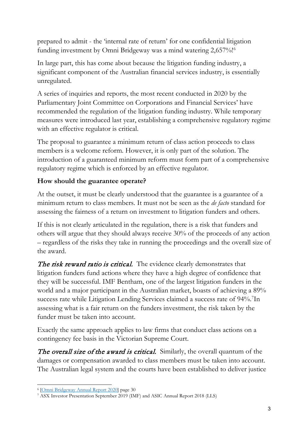prepared to admit - the 'internal rate of return' for one confidential litigation funding investment by Omni Bridgeway was a mind watering 2,657%! [6](#page-2-0)

In large part, this has come about because the litigation funding industry, a significant component of the Australian financial services industry, is essentially unregulated.

A series of inquiries and reports, the most recent conducted in 2020 by the Parliamentary Joint Committee on Corporations and Financial Services' have recommended the regulation of the litigation funding industry. While temporary measures were introduced last year, establishing a comprehensive regulatory regime with an effective regulator is critical.

The proposal to guarantee a minimum return of class action proceeds to class members is a welcome reform. However, it is only part of the solution. The introduction of a guaranteed minimum reform must form part of a comprehensive regulatory regime which is enforced by an effective regulator.

# **How should the guarantee operate?**

At the outset, it must be clearly understood that the guarantee is a guarantee of a minimum return to class members. It must not be seen as the *de facto* standard for assessing the fairness of a return on investment to litigation funders and others.

If this is not clearly articulated in the regulation, there is a risk that funders and others will argue that they should always receive 30% of the proceeds of any action – regardless of the risks they take in running the proceedings and the overall size of the award.

The risk reward ratio is critical. The evidence clearly demonstrates that litigation funders fund actions where they have a high degree of confidence that they will be successful. IMF Bentham, one of the largest litigation funders in the world and a major participant in the Australian market, boasts of achieving a 89% success rate while Litigation Lending Services claimed a success rate of 94%.<sup>[7](#page-2-1)</sup>In assessing what is a fair return on the funders investment, the risk taken by the funder must be taken into account.

Exactly the same approach applies to law firms that conduct class actions on a contingency fee basis in the Victorian Supreme Court.

The overall size of the award is critical. Similarly, the overall quantum of the damages or compensation awarded to class members must be taken into account. The Australian legal system and the courts have been established to deliver justice

<span id="page-2-0"></span><sup>6</sup> [\[Omni Bridgeway Annual Report 2020\]](https://omnibridgeway.com/InvestorPresentations/omni-bridgeway-annual-report-2020/files/assets/common/downloads/Omni%20Bridgeway%20Annual%20Report%202020.pdf?uni=d63175b03f4939e850898df44c263968) page 30

<span id="page-2-1"></span><sup>7</sup> ASX Investor Presentation September 2019 (IMF) and ASIC Annual Report 2018 (LLS)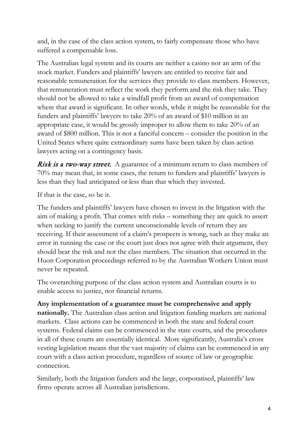and, in the case of the class action system, to fairly compensate those who have suffered a compensable loss.

The Australian legal system and its courts are neither a casino nor an arm of the stock market. Funders and plaintiffs' lawyers are entitled to receive fair and reasonable remuneration for the services they provide to class members. However, that remuneration must reflect the work they perform and the risk they take. They should not be allowed to take a windfall profit from an award of compensation where that award is significant. In other words, while it might be reasonable for the funders and plaintiffs' lawyers to take 20% of an award of \$10 million in an appropriate case, it would be grossly improper to allow them to take 20% of an award of \$800 million. This is not a fanciful concern – consider the position in the United States where quite extraordinary sums have been taken by class action lawyers acting on a contingency basis.

**Risk is a two-way street.** A guarantee of a minimum return to class members of 70% may mean that, in some cases, the return to funders and plaintiffs' lawyers is less than they had anticipated or less than that which they invested.

If that is the case, so be it.

The funders and plaintiffs' lawyers have chosen to invest in the litigation with the aim of making a profit. That comes with risks – something they are quick to assert when seeking to justify the current unconscionable levels of return they are receiving. If their assessment of a claim's prospects is wrong, such as they make an error in running the case or the court just does not agree with their argument, they should bear the risk and not the class members. The situation that occurred in the Huon Corporation proceedings referred to by the Australian Workers Union must never be repeated.

The overarching purpose of the class action system and Australian courts is to enable access to justice, not financial returns.

**Any implementation of a guarantee must be comprehensive and apply nationally.** The Australian class action and litigation funding markets are national markets. Class actions can be commenced in both the state and federal court systems. Federal claims can be commenced in the state courts, and the procedures in all of these courts are essentially identical. More significantly, Australia's cross vesting legislation means that the vast majority of claims can be commenced in any court with a class action procedure, regardless of source of law or geographic connection.

Similarly, both the litigation funders and the large, corporatised, plaintiffs' law firms operate across all Australian jurisdictions.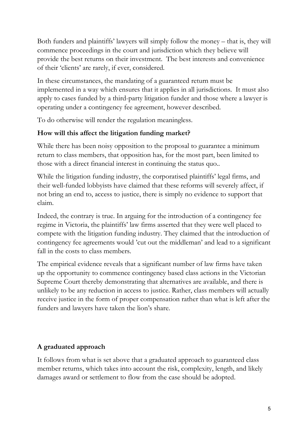Both funders and plaintiffs' lawyers will simply follow the money – that is, they will commence proceedings in the court and jurisdiction which they believe will provide the best returns on their investment. The best interests and convenience of their 'clients' are rarely, if ever, considered.

In these circumstances, the mandating of a guaranteed return must be implemented in a way which ensures that it applies in all jurisdictions. It must also apply to cases funded by a third-party litigation funder and those where a lawyer is operating under a contingency fee agreement, however described.

To do otherwise will render the regulation meaningless.

# **How will this affect the litigation funding market?**

While there has been noisy opposition to the proposal to guarantee a minimum return to class members, that opposition has, for the most part, been limited to those with a direct financial interest in continuing the status quo..

While the litigation funding industry, the corporatised plaintiffs' legal firms, and their well-funded lobbyists have claimed that these reforms will severely affect, if not bring an end to, access to justice, there is simply no evidence to support that claim.

Indeed, the contrary is true. In arguing for the introduction of a contingency fee regime in Victoria, the plaintiffs' law firms asserted that they were well placed to compete with the litigation funding industry. They claimed that the introduction of contingency fee agreements would 'cut out the middleman' and lead to a significant fall in the costs to class members.

The empirical evidence reveals that a significant number of law firms have taken up the opportunity to commence contingency based class actions in the Victorian Supreme Court thereby demonstrating that alternatives are available, and there is unlikely to be any reduction in access to justice. Rather, class members will actually receive justice in the form of proper compensation rather than what is left after the funders and lawyers have taken the lion's share.

# **A graduated approach**

It follows from what is set above that a graduated approach to guaranteed class member returns, which takes into account the risk, complexity, length, and likely damages award or settlement to flow from the case should be adopted.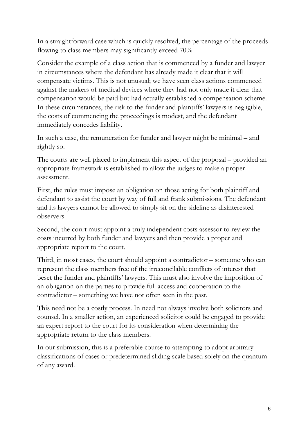In a straightforward case which is quickly resolved, the percentage of the proceeds flowing to class members may significantly exceed 70%.

Consider the example of a class action that is commenced by a funder and lawyer in circumstances where the defendant has already made it clear that it will compensate victims. This is not unusual; we have seen class actions commenced against the makers of medical devices where they had not only made it clear that compensation would be paid but had actually established a compensation scheme. In these circumstances, the risk to the funder and plaintiffs' lawyers is negligible, the costs of commencing the proceedings is modest, and the defendant immediately concedes liability.

In such a case, the remuneration for funder and lawyer might be minimal – and rightly so.

The courts are well placed to implement this aspect of the proposal – provided an appropriate framework is established to allow the judges to make a proper assessment.

First, the rules must impose an obligation on those acting for both plaintiff and defendant to assist the court by way of full and frank submissions. The defendant and its lawyers cannot be allowed to simply sit on the sideline as disinterested observers.

Second, the court must appoint a truly independent costs assessor to review the costs incurred by both funder and lawyers and then provide a proper and appropriate report to the court.

Third, in most cases, the court should appoint a contradictor – someone who can represent the class members free of the irreconcilable conflicts of interest that beset the funder and plaintiffs' lawyers. This must also involve the imposition of an obligation on the parties to provide full access and cooperation to the contradictor – something we have not often seen in the past.

This need not be a costly process. In need not always involve both solicitors and counsel. In a smaller action, an experienced solicitor could be engaged to provide an expert report to the court for its consideration when determining the appropriate return to the class members.

In our submission, this is a preferable course to attempting to adopt arbitrary classifications of cases or predetermined sliding scale based solely on the quantum of any award.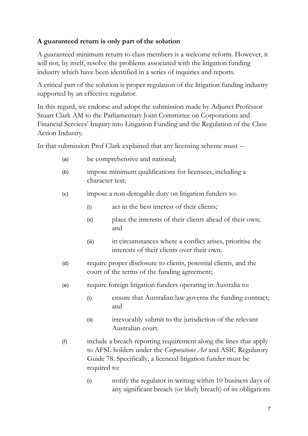# **A guaranteed return is only part of the solution**

A guaranteed minimum return to class members is a welcome reform. However, it will not, by itself, resolve the problems associated with the litigation funding industry which have been identified in a series of inquiries and reports.

A critical part of the solution is proper regulation of the litigation funding industry supported by an effective regulator.

In this regard, we endorse and adopt the submission made by Adjunct Professor Stuart Clark AM to the Parliamentary Joint Committee on Corporations and Financial Services' Inquiry into Litigation Funding and the Regulation of the Class Action Industry.

In that submission Prof Clark explained that any licensing scheme must –

- (a) be comprehensive and national;
- (b) impose minimum qualifications for licensees, including a character test;
- (c) impose a non-derogable duty on litigation funders to:
	- (i) act in the best interest of their clients;
	- (ii) place the interests of their clients ahead of their own; and
	- (iii) in circumstances where a conflict arises, prioritise the interests of their clients over their own.
- (d) require proper disclosure to clients, potential clients, and the court of the terms of the funding agreement;
- (e) require foreign litigation funders operating in Australia to:
	- (i) ensure that Australian law governs the funding contract; and
	- (ii) irrevocably submit to the jurisdiction of the relevant Australian court.
- (f) include a breach reporting requirement along the lines that apply to AFSL holders under the *Corporations Act* and ASIC Regulatory Guide 78. Specifically, a licenced litigation funder must be required to:
	- (i) notify the regulator in writing within 10 business days of any significant breach (or likely breach) of its obligations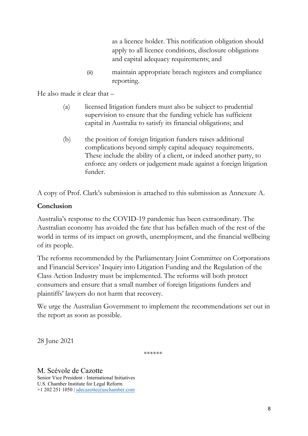as a licence holder. This notification obligation should apply to all licence conditions, disclosure obligations and capital adequacy requirements; and

(ii) maintain appropriate breach registers and compliance reporting.

He also made it clear that –

- (a) licensed litigation funders must also be subject to prudential supervision to ensure that the funding vehicle has sufficient capital in Australia to satisfy its financial obligations; and
- (b) the position of foreign litigation funders raises additional complications beyond simply capital adequacy requirements. These include the ability of a client, or indeed another party, to enforce any orders or judgement made against a foreign litigation funder.

A copy of Prof. Clark's submission is attached to this submission as Annexure A.

# **Conclusion**

Australia's response to the COVID-19 pandemic has been extraordinary. The Australian economy has avoided the fate that has befallen much of the rest of the world in terms of its impact on growth, unemployment, and the financial wellbeing of its people.

The reforms recommended by the Parliamentary Joint Committee on Corporations and Financial Services' Inquiry into Litigation Funding and the Regulation of the Class Action Industry must be implemented. The reforms will both protect consumers and ensure that a small number of foreign litigations funders and plaintiffs' lawyers do not harm that recovery.

We urge the Australian Government to implement the recommendations set out in the report as soon as possible.

28 June 2021

\*\*\*\*\*\*

M. Scévole de Cazotte Senior Vice President - International Initiatives U.S. Chamber Institute for Legal Reform +1 202 251 1050 | [sdecazotte@uschamber.com](mailto:sdecazotte@uschamber.com)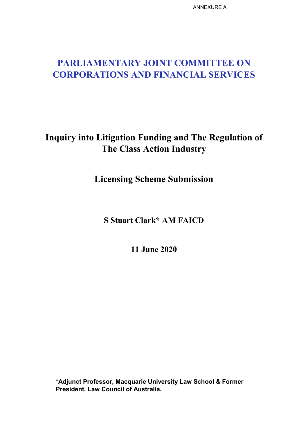ANNEXURE A

# **PARLIAMENTARY JOINT COMMITTEE ON CORPORATIONS AND FINANCIAL SERVICES**

# **Inquiry into Litigation Funding and The Regulation of The Class Action Industry**

**Licensing Scheme Submission**

**S Stuart Clark\* AM FAICD**

**11 June 2020**

**\*Adjunct Professor, Macquarie University Law School & Former President, Law Council of Australia.**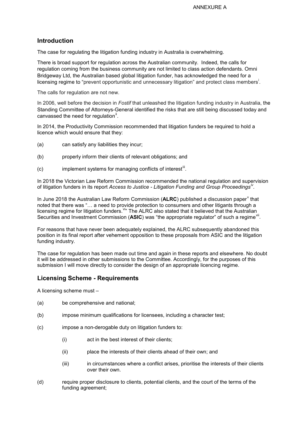## **Introduction**

The case for regulating the litigation funding industry in Australia is overwhelming.

There is broad support for regulation across the Australian community. Indeed, the calls for regulation coming from the business community are not limited to class action defendants. Omni Bridgeway Ltd, the Australian based global litigation funder, has acknowledged the need for a l[i](#page-13-0)censing regime to "prevent opportunistic and unnecessary litigation" and protect class members<sup>i</sup>.

The calls for regulation are not new.

In 2006, well before the decision in *Fostif* that unleashed the litigation funding industry in Australia, the Standing Committee of Attorneys-General identified the risks that are still being discussed today and canvassed the need for regulation<sup>[ii](#page-13-1)</sup>.

In 2014, the Productivity Commission recommended that litigation funders be required to hold a licence which would ensure that they:

- (a) can satisfy any liabilities they incur;
- (b) properly inform their clients of relevant obligations; and
- $(c)$  implement systems for managing conflicts of interest<sup>[iii](#page-13-2)</sup>.

In 2018 the Victorian Law Reform Commission recommended the national regulation and supervision of litigation funders in its report *Access to Justice - Litigation Funding and Group Proceedings[iv](#page-13-3) .*

In June 2018 the Australian Law Reform Commission (**ALRC**) published a discussion paper<sup>y</sup> that noted that there was "… a need to provide protection to consumers and other litigants through a licensing regime for litigation funders. Vin The ALRC also stated that it believed that the Australian Securities and Investment Commission (**ASIC**) was "the appropriate regulator" of such a regime[vii](#page-13-6).

For reasons that have never been adequately explained, the ALRC subsequently abandoned this position in its final report after vehement opposition to these proposals from ASIC and the litigation funding industry.

The case for regulation has been made out time and again in these reports and elsewhere. No doubt it will be addressed in other submissions to the Committee. Accordingly, for the purposes of this submission I will move directly to consider the design of an appropriate licencing regime.

## **Licensing Scheme - Requirements**

A licensing scheme must –

- (a) be comprehensive and national;
- (b) impose minimum qualifications for licensees, including a character test;
- (c) impose a non-derogable duty on litigation funders to:
	- (i) act in the best interest of their clients;
	- (ii) place the interests of their clients ahead of their own; and
	- (iii) in circumstances where a conflict arises, prioritise the interests of their clients over their own.
- (d) require proper disclosure to clients, potential clients, and the court of the terms of the funding agreement;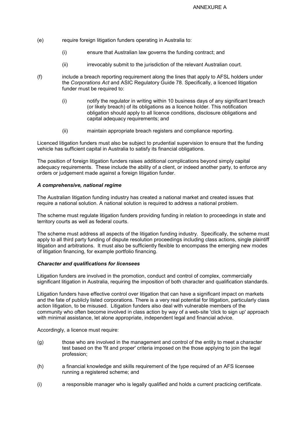- (e) require foreign litigation funders operating in Australia to:
	- (i) ensure that Australian law governs the funding contract; and
	- (ii) irrevocably submit to the jurisdiction of the relevant Australian court.
- (f) include a breach reporting requirement along the lines that apply to AFSL holders under the *Corporations Act* and ASIC Regulatory Guide 78. Specifically, a licenced litigation funder must be required to:
	- (i) notify the regulator in writing within 10 business days of any significant breach (or likely breach) of its obligations as a licence holder. This notification obligation should apply to all licence conditions, disclosure obligations and capital adequacy requirements; and
	- (ii) maintain appropriate breach registers and compliance reporting.

Licenced litigation funders must also be subject to prudential supervision to ensure that the funding vehicle has sufficient capital in Australia to satisfy its financial obligations.

The position of foreign litigation funders raises additional complications beyond simply capital adequacy requirements. These include the ability of a client, or indeed another party, to enforce any orders or judgement made against a foreign litigation funder.

## *A comprehensive, national regime*

The Australian litigation funding industry has created a national market and created issues that require a national solution. A national solution is required to address a national problem.

The scheme must regulate litigation funders providing funding in relation to proceedings in state and territory courts as well as federal courts.

The scheme must address all aspects of the litigation funding industry. Specifically, the scheme must apply to all third party funding of dispute resolution proceedings including class actions, single plaintiff litigation and arbitrations. It must also be sufficiently flexible to encompass the emerging new modes of litigation financing, for example portfolio financing.

### *Character and qualifications for licensees*

Litigation funders are involved in the promotion, conduct and control of complex, commercially significant litigation in Australia, requiring the imposition of both character and qualification standards.

Litigation funders have effective control over litigation that can have a significant impact on markets and the fate of publicly listed corporations. There is a very real potential for litigation, particularly class action litigation, to be misused. Litigation funders also deal with vulnerable members of the community who often become involved in class action by way of a web-site 'click to sign up' approach with minimal assistance, let alone appropriate, independent legal and financial advice.

Accordingly, a licence must require:

- (g) those who are involved in the management and control of the entity to meet a character test based on the 'fit and proper' criteria imposed on the those applying to join the legal profession;
- (h) a financial knowledge and skills requirement of the type required of an AFS licensee running a registered scheme; and
- (i) a responsible manager who is legally qualified and holds a current practicing certificate.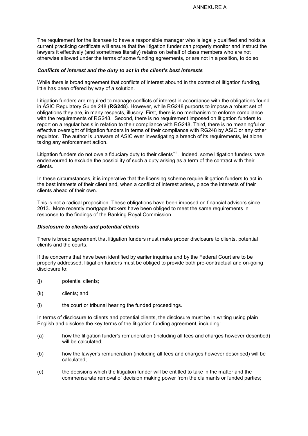The requirement for the licensee to have a responsible manager who is legally qualified and holds a current practicing certificate will ensure that the litigation funder can properly monitor and instruct the lawyers it effectively (and sometimes literally) retains on behalf of class members who are not otherwise allowed under the terms of some funding agreements, or are not in a position, to do so.

### *Conflicts of interest and the duty to act in the client's best interests*

While there is broad agreement that conflicts of interest abound in the context of litigation funding, little has been offered by way of a solution.

Litigation funders are required to manage conflicts of interest in accordance with the obligations found in ASIC Regulatory Guide 248 (**RG248**). However, while RG248 purports to impose a robust set of obligations they are, in many respects, illusory. First, there is no mechanism to enforce compliance with the requirements of RG248. Second, there is no requirement imposed on litigation funders to report on a regular basis in relation to their compliance with RG248. Third, there is no meaningful or effective oversight of litigation funders in terms of their compliance with RG248 by ASIC or any other regulator. The author is unaware of ASIC ever investigating a breach of its requirements, let alone taking any enforcement action.

Litigation funders do not owe a fiduciary duty to their clients<sup>viii</sup>. Indeed, some litigation funders have endeavoured to exclude the possibility of such a duty arising as a term of the contract with their clients.

In these circumstances, it is imperative that the licensing scheme require litigation funders to act in the best interests of their client and, when a conflict of interest arises, place the interests of their clients ahead of their own.

This is not a radical proposition. These obligations have been imposed on financial advisors since 2013. More recently mortgage brokers have been obliged to meet the same requirements in response to the findings of the Banking Royal Commission.

#### *Disclosure to clients and potential clients*

There is broad agreement that litigation funders must make proper disclosure to clients, potential clients and the courts.

If the concerns that have been identified by earlier inquiries and by the Federal Court are to be properly addressed, litigation funders must be obliged to provide both pre-contractual and on-going disclosure to:

- (j) potential clients;
- (k) clients; and
- (l) the court or tribunal hearing the funded proceedings.

In terms of disclosure to clients and potential clients, the disclosure must be in writing using plain English and disclose the key terms of the litigation funding agreement, including:

- (a) how the litigation funder's remuneration (including all fees and charges however described) will be calculated;
- (b) how the lawyer's remuneration (including all fees and charges however described) will be calculated;
- (c) the decisions which the litigation funder will be entitled to take in the matter and the commensurate removal of decision making power from the claimants or funded parties;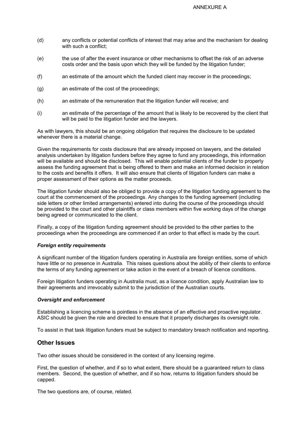- (d) any conflicts or potential conflicts of interest that may arise and the mechanism for dealing with such a conflict:
- (e) the use of after the event insurance or other mechanisms to offset the risk of an adverse costs order and the basis upon which they will be funded by the litigation funder;
- (f) an estimate of the amount which the funded client may recover in the proceedings;
- (g) an estimate of the cost of the proceedings;
- (h) an estimate of the remuneration that the litigation funder will receive; and
- (i) an estimate of the percentage of the amount that is likely to be recovered by the client that will be paid to the litigation funder and the lawyers.

As with lawyers, this should be an ongoing obligation that requires the disclosure to be updated whenever there is a material change.

Given the requirements for costs disclosure that are already imposed on lawyers, and the detailed analysis undertaken by litigation funders before they agree to fund any proceedings, this information will be available and should be disclosed. This will enable potential clients of the funder to properly assess the funding agreement that is being offered to them and make an informed decision in relation to the costs and benefits it offers. It will also ensure that clients of litigation funders can make a proper assessment of their options as the matter proceeds.

The litigation funder should also be obliged to provide a copy of the litigation funding agreement to the court at the commencement of the proceedings. Any changes to the funding agreement (including side letters or other limited arrangements) entered into during the course of the proceedings should be provided to the court and other plaintiffs or class members within five working days of the change being agreed or communicated to the client.

Finally, a copy of the litigation funding agreement should be provided to the other parties to the proceedings when the proceedings are commenced if an order to that effect is made by the court.

#### *Foreign entity requirements*

A significant number of the litigation funders operating in Australia are foreign entities, some of which have little or no presence in Australia. This raises questions about the ability of their clients to enforce the terms of any funding agreement or take action in the event of a breach of licence conditions.

Foreign litigation funders operating in Australia must, as a licence condition, apply Australian law to their agreements and irrevocably submit to the jurisdiction of the Australian courts.

#### *Oversight and enforcement*

Establishing a licencing scheme is pointless in the absence of an effective and proactive regulator. ASIC should be given the role and directed to ensure that it properly discharges its oversight role.

To assist in that task litigation funders must be subject to mandatory breach notification and reporting.

## **Other Issues**

Two other issues should be considered in the context of any licensing regime.

First, the question of whether, and if so to what extent, there should be a guaranteed return to class members. Second, the question of whether, and if so how, returns to litigation funders should be capped.

The two questions are, of course, related.